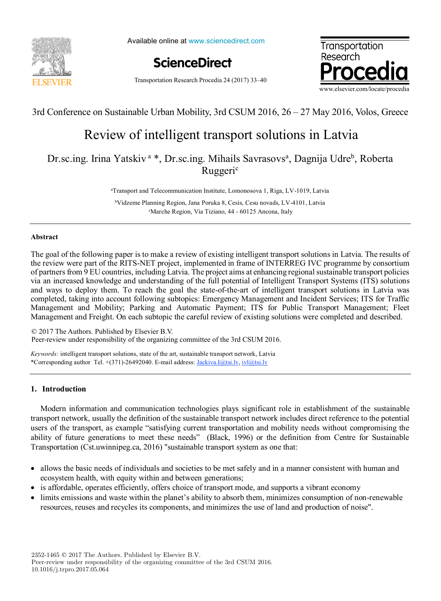

Available online at www.sciencedirect.com



Transportation Research Procedia 24 (2017) 33–40



## 3rd Conference on Sustainable Urban Mobility, 3rd CSUM 2016, 26 – 27 May 2016, Volos, Greece

# Review of intelligent transport solutions in Latvia Review of intelligent transport solutions in Latvia

Dr.sc.ing. Irina Yatskiv<sup>a</sup> \*, Dr.sc.ing. Mihails Savrasovs<sup>a</sup>, Dagnija Udre<sup>b</sup>, Roberta Ruggeri<sup>c</sup>

a Transport and Telecommunication Institute, Lomonosova 1, Riga, LV-1019, Latvia a Transport and Telecommunication Institute, Lomonosova 1, Riga, LV-1019, Latvia

bVidzeme Planning Region, Jana Poruka 8, Cesis, Cesu novads, LV-4101, Latvia bVidzeme Planning Region, Jana Poruka 8, Cesis, Cesu novads, LV-4101, Latvia c Marche Region, Via Tiziano, 44 - 60125 Ancona, Italy c Marche Region, Via Tiziano, 44 - 60125 Ancona, Italy

### **Abstract Abstract**

The goal of the following paper is to make a review of existing intelligent transport solutions in Latvia. The results of the review were part of the RITS-NET project, implemented in frame of INTERREG IVC programme by consortium the review were part of the RITS-NET project, implemented in frame of INTERREG IVC programme by consortium of partners from 9 EU countries, including Latvia. The project aims at enhancing regional sustainable transport policies via an increased knowledge and understanding of the full potential of Intelligent Transport Systems (ITS) solutions and ways to deploy them. To reach the goal the state-of-the-art of intelligent transport solutions in Latvia was completed, taking into account following subtopics: Emergency Management and Incident Services; ITS for Traffic completed, taking into account following subtopics: Emergency Management and Incident Services; ITS for Traffic Management and Mobility; Parking and Automatic Payment; ITS for Public Transport Management; Fleet Management and Freight. On each subtopic the careful review of existing solutions were completed and described. Management and Freight. On each subtopic the careful review of existing solutions were completed and described.

© 2017 The Authors. Published by Elsevier B.V.  $\degree$  2017 The Authors. Fubrished by Eisevier B. v.<br>Peer-review under responsibility of the organizing committee of the 3rd CSUM 2016.

*Keywords:* intelligent transport solutions, state of the art, sustainable transport network, Latvia *Keywords:* intelligent transport solutions, state of the art, sustainable transport network, Latvia \*Corresponding author Tel. +(371)-26492040. E-mail address: Jackiva.I@tsi.lv, ivl@tsi.lv \*Corresponding author Tel. +(371)-26492040. E-mail address: Jackiva.I@tsi.lv, ivl@tsi.lv

### **1. Introduction 1. Introduction**

Modern information and communication technologies plays significant role in establishment of the sustainable Modern information and communication technologies plays significant role in establishment of the sustainable transport network, usually the definition of the sustainable transport network includes direct reference to the potential users of the transport, as example "satisfying current transportation and mobility needs without compromising the ability of future generations to meet these needs" (Black, 1996) or the definition from Centre for Sustainable ability of future generations to meet these needs" (Black, 1996) or the definition from Centre for Sustainable Transportation (Cst.uwinnipeg.ca, 2016) "sustainable transport system as one that: Transportation (Cst.uwinnipeg.ca, 2016) "sustainable transport system as one that:

- allows the basic needs of individuals and societies to be met safely and in a manner consistent with human and ecosystem health, with equity within and between generations; ecosystem health, with equity within and between generations;
- is affordable, operates efficiently, offers choice of transport mode, and supports a vibrant economy is affordable, operates efficiently, offers choice of transport mode, and supports a vibrant economy
- limits emissions and waste within the planet's ability to absorb them, minimizes consumption of non-renewable limits emissions and waste within the planet's ability to absorb them, minimizes consumption of non-renewable resources, reuses and recycles its components, and minimizes the use of land and production of noise". resources, reuses and recycles its components, and minimizes the use of land and production of noise".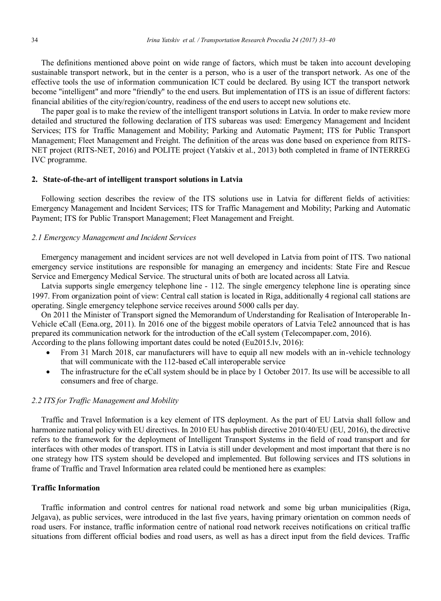The definitions mentioned above point on wide range of factors, which must be taken into account developing sustainable transport network, but in the center is a person, who is a user of the transport network. As one of the effective tools the use of information communication ICT could be declared. By using ICT the transport network become "intelligent" and more "friendly" to the end users. But implementation of ITS is an issue of different factors: financial abilities of the city/region/country, readiness of the end users to accept new solutions etc.

The paper goal is to make the review of the intelligent transport solutions in Latvia. In order to make review more detailed and structured the following declaration of ITS subareas was used: Emergency Management and Incident Services; ITS for Traffic Management and Mobility; Parking and Automatic Payment; ITS for Public Transport Management; Fleet Management and Freight. The definition of the areas was done based on experience from RITS-NET project (RITS-NET, 2016) and POLITE project (Yatskiv et al., 2013) both completed in frame of INTERREG IVC programme.

#### **2. State-of-the-art of intelligent transport solutions in Latvia**

Following section describes the review of the ITS solutions use in Latvia for different fields of activities: Emergency Management and Incident Services; ITS for Traffic Management and Mobility; Parking and Automatic Payment; ITS for Public Transport Management; Fleet Management and Freight.

#### *2.1 Emergency Management and Incident Services*

Emergency management and incident services are not well developed in Latvia from point of ITS. Two national emergency service institutions are responsible for managing an emergency and incidents: State Fire and Rescue Service and Emergency Medical Service. The structural units of both are located across all Latvia.

Latvia supports single emergency telephone line - 112. The single emergency telephone line is operating since 1997. From organization point of view: Central call station is located in Riga, additionally 4 regional call stations are operating. Single emergency telephone service receives around 5000 calls per day.

On 2011 the Minister of Transport signed the Memorandum of Understanding for Realisation of Interoperable In-Vehicle eCall (Eena.org, 2011). In 2016 one of the biggest mobile operators of Latvia Tele2 announced that is has prepared its communication network for the introduction of the eCall system (Telecompaper.com, 2016).

According to the plans following important dates could be noted (Eu2015.lv, 2016):

- From 31 March 2018, car manufacturers will have to equip all new models with an in-vehicle technology that will communicate with the 112-based eCall interoperable service
- The infrastructure for the eCall system should be in place by 1 October 2017. Its use will be accessible to all consumers and free of charge.

#### *2.2 ITS for Traffic Management and Mobility*

Traffic and Travel Information is a key element of ITS deployment. As the part of EU Latvia shall follow and harmonize national policy with EU directives. In 2010 EU has publish directive 2010/40/EU (EU, 2016), the directive refers to the framework for the deployment of Intelligent Transport Systems in the field of road transport and for interfaces with other modes of transport. ITS in Latvia is still under development and most important that there is no one strategy how ITS system should be developed and implemented. But following services and ITS solutions in frame of Traffic and Travel Information area related could be mentioned here as examples:

#### **Traffic Information**

Traffic information and control centres for national road network and some big urban municipalities (Riga, Jelgava), as public services, were introduced in the last five years, having primary orientation on common needs of road users. For instance, traffic information centre of national road network receives notifications on critical traffic situations from different official bodies and road users, as well as has a direct input from the field devices. Traffic